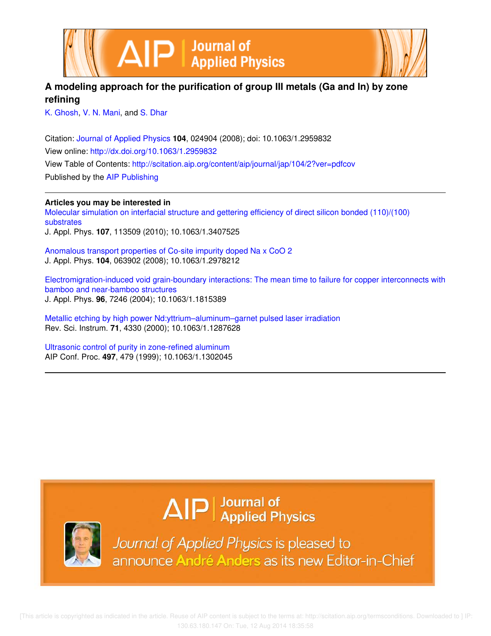



## **A modeling approach for the purification of group III metals (Ga and In) by zone refining**

K. Ghosh, V. N. Mani, and S. Dhar

Citation: Journal of Applied Physics **104**, 024904 (2008); doi: 10.1063/1.2959832 View online: http://dx.doi.org/10.1063/1.2959832 View Table of Contents: http://scitation.aip.org/content/aip/journal/jap/104/2?ver=pdfcov Published by the AIP Publishing

**Articles you may be interested in**

Molecular simulation on interfacial structure and gettering efficiency of direct silicon bonded (110)/(100) substrates J. Appl. Phys. **107**, 113509 (2010); 10.1063/1.3407525

Anomalous transport properties of Co-site impurity doped Na x CoO 2 J. Appl. Phys. **104**, 063902 (2008); 10.1063/1.2978212

Electromigration-induced void grain-boundary interactions: The mean time to failure for copper interconnects with bamboo and near-bamboo structures J. Appl. Phys. **96**, 7246 (2004); 10.1063/1.1815389

Metallic etching by high power Nd:yttrium–aluminum–garnet pulsed laser irradiation Rev. Sci. Instrum. **71**, 4330 (2000); 10.1063/1.1287628

Ultrasonic control of purity in zone-refined aluminum AIP Conf. Proc. **497**, 479 (1999); 10.1063/1.1302045

# $\Delta$ IP  $\vert$  Journal of Applied Physics



Journal of Applied Physics is pleased to announce André Anders as its new Editor-in-Chief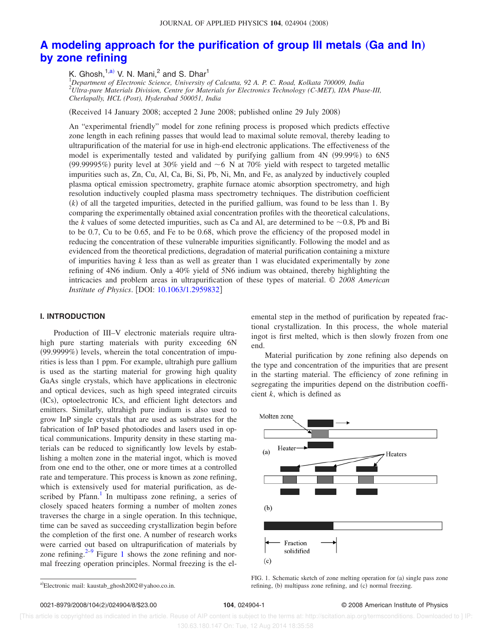## **A modeling approach for the purification of group III metals** "**Ga and In**… **by zone refining**

K. Ghosh, $^{1,a)}$  V. N. Mani,<sup>2</sup> and S. Dhar<sup>1</sup>

<sup>1</sup>*Department of Electronic Science, University of Calcutta, 92 A. P. C. Road, Kolkata 700009, India* <sup>2</sup>*Ultra-pure Materials Division, Centre for Materials for Electronics Technology (C-MET), IDA Phase-III, Cherlapally, HCL (Post), Hyderabad 500051, India*

Received 14 January 2008; accepted 2 June 2008; published online 29 July 2008-

An "experimental friendly" model for zone refining process is proposed which predicts effective zone length in each refining passes that would lead to maximal solute removal, thereby leading to ultrapurification of the material for use in high-end electronic applications. The effectiveness of the model is experimentally tested and validated by purifying gallium from 4N (99.99%) to 6N5 (99.99995%) purity level at 30% yield and  $~6$  N at 70% yield with respect to targeted metallic impurities such as, Zn, Cu, Al, Ca, Bi, Si, Pb, Ni, Mn, and Fe, as analyzed by inductively coupled plasma optical emission spectrometry, graphite furnace atomic absorption spectrometry, and high resolution inductively coupled plasma mass spectrometry techniques. The distribution coefficient  $(k)$  of all the targeted impurities, detected in the purified gallium, was found to be less than 1. By comparing the experimentally obtained axial concentration profiles with the theoretical calculations, the *k* values of some detected impurities, such as Ca and Al, are determined to be  $\sim$ 0.8, Pb and Bi to be 0.7, Cu to be 0.65, and Fe to be 0.68, which prove the efficiency of the proposed model in reducing the concentration of these vulnerable impurities significantly. Following the model and as evidenced from the theoretical predictions, degradation of material purification containing a mixture of impurities having *k* less than as well as greater than 1 was elucidated experimentally by zone refining of 4N6 indium. Only a 40% yield of 5N6 indium was obtained, thereby highlighting the intricacies and problem areas in ultrapurification of these types of material. © *2008 American Institute of Physics*. [DOI: 10.1063/1.2959832]

#### **I. INTRODUCTION**

Production of III–V electronic materials require ultrahigh pure starting materials with purity exceeding 6N (99.9999%) levels, wherein the total concentration of impurities is less than 1 ppm. For example, ultrahigh pure gallium is used as the starting material for growing high quality GaAs single crystals, which have applications in electronic and optical devices, such as high speed integrated circuits (ICs), optoelectronic ICs, and efficient light detectors and emitters. Similarly, ultrahigh pure indium is also used to grow InP single crystals that are used as substrates for the fabrication of InP based photodiodes and lasers used in optical communications. Impurity density in these starting materials can be reduced to significantly low levels by establishing a molten zone in the material ingot, which is moved from one end to the other, one or more times at a controlled rate and temperature. This process is known as zone refining, which is extensively used for material purification, as described by Pfann.<sup>1</sup> In multipass zone refining, a series of closely spaced heaters forming a number of molten zones traverses the charge in a single operation. In this technique, time can be saved as succeeding crystallization begin before the completion of the first one. A number of research works were carried out based on ultrapurification of materials by zone refining. $2^{-9}$  Figure 1 shows the zone refining and normal freezing operation principles. Normal freezing is the elemental step in the method of purification by repeated fractional crystallization. In this process, the whole material ingot is first melted, which is then slowly frozen from one end.

Material purification by zone refining also depends on the type and concentration of the impurities that are present in the starting material. The efficiency of zone refining in segregating the impurities depend on the distribution coefficient *k*, which is defined as



FIG. 1. Schematic sketch of zone melting operation for (a) single pass zone refining, (b) multipass zone refining, and (c) normal freezing.

### a)Electronic mail: kaustab\_ghosh2002@yahoo.co.in.

#### 104, 024904-1 <sup>©</sup> 2008 American Institute of Physics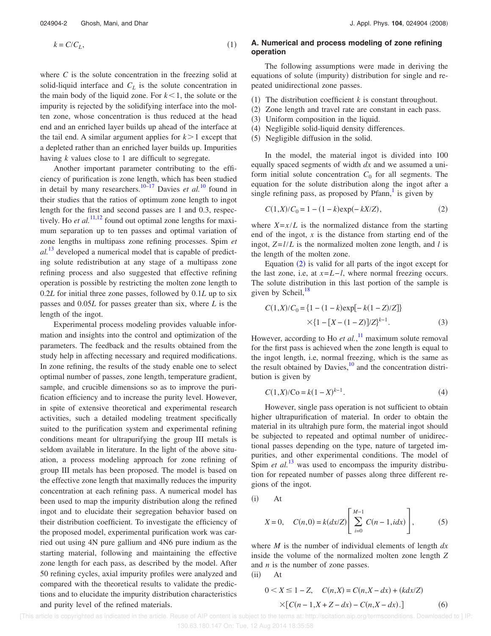$$
k = C/C_L,\tag{1}
$$

where *C* is the solute concentration in the freezing solid at solid-liquid interface and  $C_L$  is the solute concentration in the main body of the liquid zone. For  $k < 1$ , the solute or the impurity is rejected by the solidifying interface into the molten zone, whose concentration is thus reduced at the head end and an enriched layer builds up ahead of the interface at the tail end. A similar argument applies for  $k > 1$  except that a depleted rather than an enriched layer builds up. Impurities having *k* values close to 1 are difficult to segregate.

Another important parameter contributing to the efficiency of purification is zone length, which has been studied in detail by many researchers.10–17 Davies *et al.*<sup>10</sup> found in their studies that the ratios of optimum zone length to ingot length for the first and second passes are 1 and 0.3, respectively. Ho *et al.*<sup>11,12</sup> found out optimal zone lengths for maximum separation up to ten passes and optimal variation of zone lengths in multipass zone refining processes. Spim *et al.*<sup>13</sup> developed a numerical model that is capable of predicting solute redistribution at any stage of a multipass zone refining process and also suggested that effective refining operation is possible by restricting the molten zone length to 0.2*L* for initial three zone passes, followed by 0.1*L* up to six passes and 0.05*L* for passes greater than six, where *L* is the length of the ingot.

Experimental process modeling provides valuable information and insights into the control and optimization of the parameters. The feedback and the results obtained from the study help in affecting necessary and required modifications. In zone refining, the results of the study enable one to select optimal number of passes, zone length, temperature gradient, sample, and crucible dimensions so as to improve the purification efficiency and to increase the purity level. However, in spite of extensive theoretical and experimental research activities, such a detailed modeling treatment specifically suited to the purification system and experimental refining conditions meant for ultrapurifying the group III metals is seldom available in literature. In the light of the above situation, a process modeling approach for zone refining of group III metals has been proposed. The model is based on the effective zone length that maximally reduces the impurity concentration at each refining pass. A numerical model has been used to map the impurity distribution along the refined ingot and to elucidate their segregation behavior based on their distribution coefficient. To investigate the efficiency of the proposed model, experimental purification work was carried out using 4N pure gallium and 4N6 pure indium as the starting material, following and maintaining the effective zone length for each pass, as described by the model. After 50 refining cycles, axial impurity profiles were analyzed and compared with the theoretical results to validate the predictions and to elucidate the impurity distribution characteristics and purity level of the refined materials.

#### **A. Numerical and process modeling of zone refining operation**

The following assumptions were made in deriving the equations of solute (impurity) distribution for single and repeated unidirectional zone passes.

- (1) The distribution coefficient  $k$  is constant throughout.
- (2) Zone length and travel rate are constant in each pass.
- (3) Uniform composition in the liquid.
- (4) Negligible solid-liquid density differences.
- (5) Negligible diffusion in the solid.

In the model, the material ingot is divided into 100 equally spaced segments of width *dx* and we assumed a uniform initial solute concentration  $C_0$  for all segments. The equation for the solute distribution along the ingot after a single refining pass, as proposed by Pfann, $<sup>1</sup>$  is given by</sup>

$$
C(1,X)/C_0 = 1 - (1 - k)\exp(-kX/Z),
$$
\n(2)

where  $X = x/L$  is the normalized distance from the starting end of the ingot, *x* is the distance from starting end of the ingot,  $Z = l/L$  is the normalized molten zone length, and *l* is the length of the molten zone.

Equation  $(2)$  is valid for all parts of the ingot except for the last zone, i.e, at *x*=*L*−*l*, where normal freezing occurs. The solute distribution in this last portion of the sample is given by Scheil,  $18$ 

$$
C(1, X)/C_0 = \{1 - (1 - k)\exp[-k(1 - Z)/Z]\}
$$

$$
\times \{1 - [X - (1 - Z)]/Z\}^{k-1}.
$$
 (3)

However, according to Ho *et al.*,<sup>11</sup> maximum solute removal for the first pass is achieved when the zone length is equal to the ingot length, i.e, normal freezing, which is the same as the result obtained by Davies, $10$  and the concentration distribution is given by

$$
C(1,X)/C_0 = k(1-X)^{k-1}.
$$
 (4)

However, single pass operation is not sufficient to obtain higher ultrapurification of material. In order to obtain the material in its ultrahigh pure form, the material ingot should be subjected to repeated and optimal number of unidirectional passes depending on the type, nature of targeted impurities, and other experimental conditions. The model of Spim *et al.*<sup>13</sup> was used to encompass the impurity distribution for repeated number of passes along three different regions of the ingot.

$$
(i) \qquad \text{At}
$$

$$
X = 0, \quad C(n,0) = k(dx/Z) \left[ \sum_{i=0}^{M-1} C(n-1,idx) \right],
$$
 (5)

where *M* is the number of individual elements of length *dx* inside the volume of the normalized molten zone length *Z* and *n* is the number of zone passes.  $(ii)$ At

$$
0 < X \le 1 - Z, \quad C(n, X) = C(n, X - dx) + (kdx/Z)
$$
\n
$$
\times [C(n - 1, X + Z - dx) - C(n, X - dx).]
$$

 $(6)$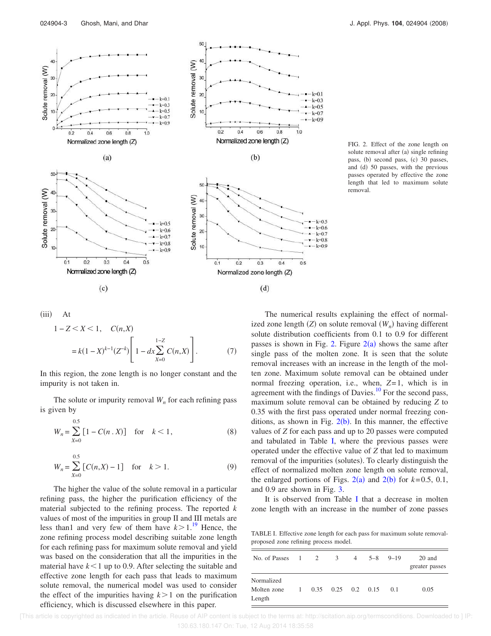

FIG. 2. Effect of the zone length on solute removal after (a) single refining pass, (b) second pass, (c) 30 passes, and (d) 50 passes, with the previous passes operated by effective the zone length that led to maximum solute removal.

(iii) At  
\n
$$
1 - Z < X < 1, \quad C(n, X)
$$
\n
$$
= k(1 - X)^{k-1}(Z^{-k}) \left[ 1 - dx \sum_{X=0}^{1-Z} C(n, X) \right]. \tag{7}
$$

In this region, the zone length is no longer constant and the impurity is not taken in.

The solute or impurity removal  $W<sub>n</sub>$  for each refining pass is given by

$$
W_n = \sum_{X=0}^{0.5} [1 - C(n \cdot X)] \quad \text{for} \quad k < 1,\tag{8}
$$

$$
W_n = \sum_{X=0}^{0.5} [C(n, X) - 1] \quad \text{for} \quad k > 1.
$$
 (9)

The higher the value of the solute removal in a particular refining pass, the higher the purification efficiency of the material subjected to the refining process. The reported *k* values of most of the impurities in group II and III metals are less than1 and very few of them have  $k > 1$ .<sup>19</sup> Hence, the zone refining process model describing suitable zone length for each refining pass for maximum solute removal and yield was based on the consideration that all the impurities in the material have  $k < 1$  up to 0.9. After selecting the suitable and effective zone length for each pass that leads to maximum solute removal, the numerical model was used to consider the effect of the impurities having  $k > 1$  on the purification efficiency, which is discussed elsewhere in this paper.

The numerical results explaining the effect of normalized zone length  $(Z)$  on solute removal  $(W_n)$  having different solute distribution coefficients from 0.1 to 0.9 for different passes is shown in Fig. 2. Figure  $2(a)$  shows the same after single pass of the molten zone. It is seen that the solute removal increases with an increase in the length of the molten zone. Maximum solute removal can be obtained under normal freezing operation, i.e., when, *Z*= 1, which is in agreement with the findings of Davies.<sup>10</sup> For the second pass, maximum solute removal can be obtained by reducing *Z* to 0.35 with the first pass operated under normal freezing conditions, as shown in Fig.  $2(b)$ . In this manner, the effective values of *Z* for each pass and up to 20 passes were computed and tabulated in Table I, where the previous passes were operated under the effective value of *Z* that led to maximum removal of the impurities (solutes). To clearly distinguish the effect of normalized molten zone length on solute removal, the enlarged portions of Figs.  $2(a)$  and  $2(b)$  for  $k=0.5, 0.1$ , and 0.9 are shown in Fig. 3.

It is observed from Table I that a decrease in molten zone length with an increase in the number of zone passes

TABLE I. Effective zone length for each pass for maximum solute removalproposed zone refining process model.

| No. of Passes $1 \t 2 \t 3$         |                        | 4 | $5 - 8$ 9-19 | 20 and<br>greater passes |
|-------------------------------------|------------------------|---|--------------|--------------------------|
| Normalized<br>Molten zone<br>Length | $1$ 0.35 0.25 0.2 0.15 |   | 0.1          | 0.05                     |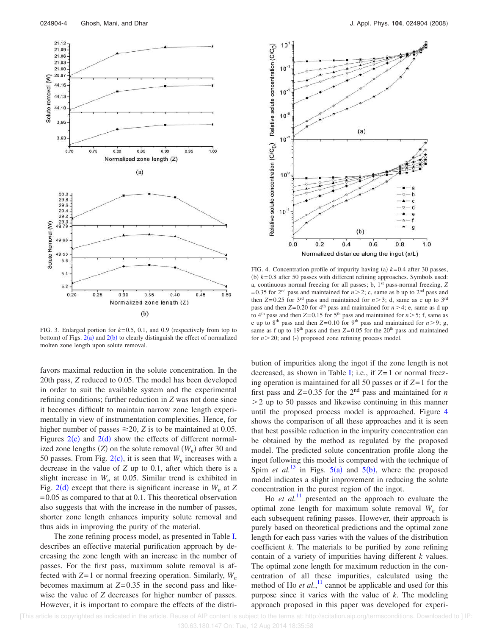

FIG. 3. Enlarged portion for  $k=0.5$ , 0.1, and 0.9 (respectively from top to bottom) of Figs.  $2(a)$  and  $2(b)$  to clearly distinguish the effect of normalized molten zone length upon solute removal.

favors maximal reduction in the solute concentration. In the 20th pass, *Z* reduced to 0.05. The model has been developed in order to suit the available system and the experimental refining conditions; further reduction in *Z* was not done since it becomes difficult to maintain narrow zone length experimentally in view of instrumentation complexities. Hence, for higher number of passes  $\geq 20$ , *Z* is to be maintained at 0.05. Figures  $2(c)$  and  $2(d)$  show the effects of different normalized zone lengths  $(Z)$  on the solute removal  $(W_n)$  after 30 and 50 passes. From Fig.  $2(c)$ , it is seen that  $W<sub>n</sub>$  increases with a decrease in the value of *Z* up to 0.1, after which there is a slight increase in  $W_n$  at 0.05. Similar trend is exhibited in Fig.  $2(d)$  except that there is significant increase in  $W_n$  at Z  $= 0.05$  as compared to that at 0.1. This theoretical observation also suggests that with the increase in the number of passes, shorter zone length enhances impurity solute removal and thus aids in improving the purity of the material.

The zone refining process model, as presented in Table I, describes an effective material purification approach by decreasing the zone length with an increase in the number of passes. For the first pass, maximum solute removal is affected with  $Z=1$  or normal freezing operation. Similarly,  $W_n$ becomes maximum at  $Z=0.35$  in the second pass and likewise the value of *Z* decreases for higher number of passes. However, it is important to compare the effects of the distri-



FIG. 4. Concentration profile of impurity having (a)  $k=0.4$  after 30 passes, (b)  $k = 0.8$  after 50 passes with different refining approaches. Symbols used: a, continuous normal freezing for all passes; b, 1st pass-normal freezing, *Z* = 0.35 for 2<sup>nd</sup> pass and maintained for  $n > 2$ ; c, same as b up to 2<sup>nd</sup> pass and then  $Z=0.25$  for  $3<sup>rd</sup>$  pass and maintained for  $n>3$ ; d, same as c up to  $3<sup>rd</sup>$ pass and then  $Z=0.20$  for 4<sup>th</sup> pass and maintained for  $n>4$ ; e, same as d up to 4<sup>th</sup> pass and then  $Z=0.15$  for 5<sup>th</sup> pass and maintained for  $n > 5$ ; f, same as e up to 8<sup>th</sup> pass and then  $Z=0.10$  for 9<sup>th</sup> pass and maintained for  $n>9$ ; g, same as f up to  $19<sup>th</sup>$  pass and then  $Z=0.05$  for the  $20<sup>th</sup>$  pass and maintained for  $n > 20$ ; and (-) proposed zone refining process model.

bution of impurities along the ingot if the zone length is not decreased, as shown in Table I; i.e., if *Z*= 1 or normal freezing operation is maintained for all 50 passes or if *Z*= 1 for the first pass and  $Z=0.35$  for the 2<sup>nd</sup> pass and maintained for *n* -2 up to 50 passes and likewise continuing in this manner until the proposed process model is approached. Figure 4 shows the comparison of all these approaches and it is seen that best possible reduction in the impurity concentration can be obtained by the method as regulated by the proposed model. The predicted solute concentration profile along the ingot following this model is compared with the technique of Spim *et al.*<sup>13</sup> in Figs.  $5(a)$  and  $5(b)$ , where the proposed model indicates a slight improvement in reducing the solute concentration in the purest region of the ingot.

Ho *et al.*<sup>11</sup> presented an the approach to evaluate the optimal zone length for maximum solute removal *W<sup>n</sup>* for each subsequent refining passes. However, their approach is purely based on theoretical predictions and the optimal zone length for each pass varies with the values of the distribution coefficient *k*. The materials to be purified by zone refining contain of a variety of impurities having different *k* values. The optimal zone length for maximum reduction in the concentration of all these impurities, calculated using the method of Ho *et al.*,<sup>11</sup> cannot be applicable and used for this purpose since it varies with the value of *k*. The modeling approach proposed in this paper was developed for experi-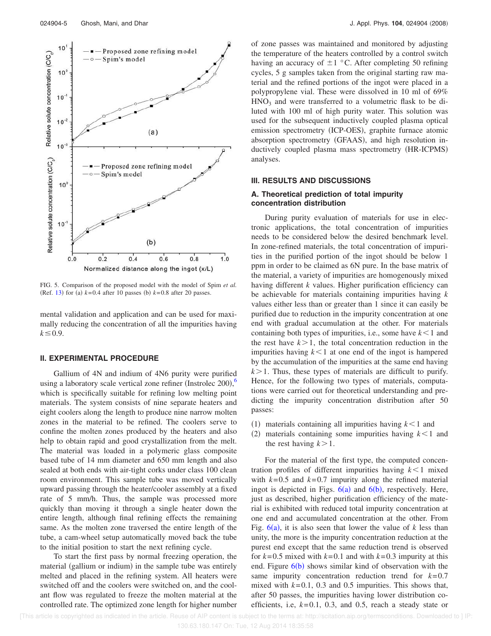

FIG. 5. Comparison of the proposed model with the model of Spim *et al.* (Ref. 13) for (a)  $k=0.4$  after 10 passes (b)  $k=0.8$  after 20 passes.

mental validation and application and can be used for maximally reducing the concentration of all the impurities having  $k \le 0.9$ .

#### **II. EXPERIMENTAL PROCEDURE**

Gallium of 4N and indium of 4N6 purity were purified using a laboratory scale vertical zone refiner (Instrolec 200),<sup>6</sup> which is specifically suitable for refining low melting point materials. The system consists of nine separate heaters and eight coolers along the length to produce nine narrow molten zones in the material to be refined. The coolers serve to confine the molten zones produced by the heaters and also help to obtain rapid and good crystallization from the melt. The material was loaded in a polymeric glass composite based tube of 14 mm diameter and 650 mm length and also sealed at both ends with air-tight corks under class 100 clean room environment. This sample tube was moved vertically upward passing through the heater/cooler assembly at a fixed rate of 5 mm/h. Thus, the sample was processed more quickly than moving it through a single heater down the entire length, although final refining effects the remaining same. As the molten zone traversed the entire length of the tube, a cam-wheel setup automatically moved back the tube to the initial position to start the next refining cycle.

To start the first pass by normal freezing operation, the material (gallium or indium) in the sample tube was entirely melted and placed in the refining system. All heaters were switched off and the coolers were switched on, and the coolant flow was regulated to freeze the molten material at the controlled rate. The optimized zone length for higher number

of zone passes was maintained and monitored by adjusting the temperature of the heaters controlled by a control switch having an accuracy of  $\pm 1$  °C. After completing 50 refining cycles, 5 g samples taken from the original starting raw material and the refined portions of the ingot were placed in a polypropylene vial. These were dissolved in 10 ml of 69%  $HNO<sub>3</sub>$  and were transferred to a volumetric flask to be diluted with 100 ml of high purity water. This solution was used for the subsequent inductively coupled plasma optical emission spectrometry (ICP-OES), graphite furnace atomic absorption spectrometry (GFAAS), and high resolution inductively coupled plasma mass spectrometry (HR-ICPMS) analyses.

#### **III. RESULTS AND DISCUSSIONS**

#### **A. Theoretical prediction of total impurity concentration distribution**

During purity evaluation of materials for use in electronic applications, the total concentration of impurities needs to be considered below the desired benchmark level. In zone-refined materials, the total concentration of impurities in the purified portion of the ingot should be below 1 ppm in order to be claimed as 6N pure. In the base matrix of the material, a variety of impurities are homogenously mixed having different *k* values. Higher purification efficiency can be achievable for materials containing impurities having *k* values either less than or greater than 1 since it can easily be purified due to reduction in the impurity concentration at one end with gradual accumulation at the other. For materials containing both types of impurities, i.e., some have  $k < 1$  and the rest have  $k > 1$ , the total concentration reduction in the impurities having  $k < 1$  at one end of the ingot is hampered by the accumulation of the impurities at the same end having  $k$  > 1. Thus, these types of materials are difficult to purify. Hence, for the following two types of materials, computations were carried out for theoretical understanding and predicting the impurity concentration distribution after 50 passes:

- (1) materials containing all impurities having  $k < 1$  and
- (2) materials containing some impurities having  $k < 1$  and the rest having  $k > 1$ .

For the material of the first type, the computed concentration profiles of different impurities having  $k < 1$  mixed with  $k = 0.5$  and  $k = 0.7$  impurity along the refined material ingot is depicted in Figs.  $6(a)$  and  $6(b)$ , respectively. Here, just as described, higher purification efficiency of the material is exhibited with reduced total impurity concentration at one end and accumulated concentration at the other. From Fig.  $6(a)$ , it is also seen that lower the value of *k* less than unity, the more is the impurity concentration reduction at the purest end except that the same reduction trend is observed for  $k=0.5$  mixed with  $k=0.1$  and with  $k=0.3$  impurity at this end. Figure  $6(b)$  shows similar kind of observation with the same impurity concentration reduction trend for  $k=0.7$ mixed with  $k = 0.1$ , 0.3 and 0.5 impurities. This shows that, after 50 passes, the impurities having lower distribution coefficients, i.e, *k*= 0.1, 0.3, and 0.5, reach a steady state or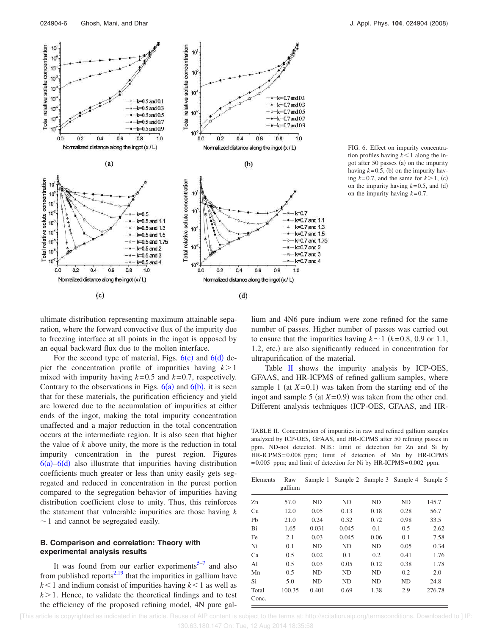

FIG. 6. Effect on impurity concentration profiles having  $k < 1$  along the ingot after 50 passes (a) on the impurity having  $k = 0.5$ , (b) on the impurity having  $k=0.7$ , and the same for  $k>1$ , (c) on the impurity having  $k=0.5$ , and (d) on the impurity having  $k = 0.7$ .

ultimate distribution representing maximum attainable separation, where the forward convective flux of the impurity due to freezing interface at all points in the ingot is opposed by an equal backward flux due to the molten interface.

For the second type of material, Figs.  $6(c)$  and  $6(d)$  depict the concentration profile of impurities having  $k > 1$ mixed with impurity having *k*= 0.5 and *k*= 0.7, respectively. Contrary to the observations in Figs.  $6(a)$  and  $6(b)$ , it is seen that for these materials, the purification efficiency and yield are lowered due to the accumulation of impurities at either ends of the ingot, making the total impurity concentration unaffected and a major reduction in the total concentration occurs at the intermediate region. It is also seen that higher the value of *k* above unity, the more is the reduction in total impurity concentration in the purest region. Figures  $6(a) - 6(d)$  also illustrate that impurities having distribution coefficients much greater or less than unity easily gets segregated and reduced in concentration in the purest portion compared to the segregation behavior of impurities having distribution coefficient close to unity. Thus, this reinforces the statement that vulnerable impurities are those having *k*  $\sim$  1 and cannot be segregated easily.

#### **B. Comparison and correlation: Theory with experimental analysis results**

It was found from our earlier experiments<sup>5-7</sup> and also from published reports<sup>2,19</sup> that the impurities in gallium have  $k$ I and indium consist of impurities having  $k$ I as well as  $k$   $>$  1. Hence, to validate the theoretical findings and to test the efficiency of the proposed refining model, 4N pure gallium and 4N6 pure indium were zone refined for the same number of passes. Higher number of passes was carried out to ensure that the impurities having  $k \sim 1$  ( $k = 0.8, 0.9$  or 1.1, 1.2, etc.) are also significantly reduced in concentration for ultrapurification of the material.

Table II shows the impurity analysis by ICP-OES, GFAAS, and HR-ICPMS of refined gallium samples, where sample 1 (at  $X=0.1$ ) was taken from the starting end of the ingot and sample 5 (at  $X=0.9$ ) was taken from the other end. Different analysis techniques (ICP-OES, GFAAS, and HR-

TABLE II. Concentration of impurities in raw and refined gallium samples analyzed by ICP-OES, GFAAS, and HR-ICPMS after 50 refining passes in ppm. ND-not detected. N.B.: limit of detection for Zn and Si by HR-ICPMS= 0.008 ppm; limit of detection of Mn by HR-ICPMS  $= 0.005$  ppm; and limit of detection for Ni by HR-ICPMS $= 0.002$  ppm.

| Elements | Raw<br>gallium | Sample 1 |       | Sample 2 Sample 3 Sample 4 |           | Sample 5 |
|----------|----------------|----------|-------|----------------------------|-----------|----------|
| Zn       | 57.0           | ND.      | ND    | ND                         | <b>ND</b> | 145.7    |
| Cu       | 12.0           | 0.05     | 0.13  | 0.18                       | 0.28      | 56.7     |
| Ph       | 21.0           | 0.24     | 0.32  | 0.72                       | 0.98      | 33.5     |
| Bi       | 1.65           | 0.031    | 0.045 | 0.1                        | 0.5       | 2.62     |
| Fe       | 2.1            | 0.03     | 0.045 | 0.06                       | 0.1       | 7.58     |
| Ni       | 0.1            | ND       | ND    | ND                         | 0.05      | 0.34     |
| Ca       | 0.5            | 0.02     | 0.1   | 0.2                        | 0.41      | 1.76     |
| Al       | 0.5            | 0.03     | 0.05  | 0.12                       | 0.38      | 1.78     |
| Mn       | 0.5            | ND       | ND    | ND.                        | 0.2       | 2.0      |
| Si       | 5.0            | ND       | ND    | ND                         | ND.       | 24.8     |
| Total    | 100.35         | 0.401    | 0.69  | 1.38                       | 2.9       | 276.78   |
| Conc.    |                |          |       |                            |           |          |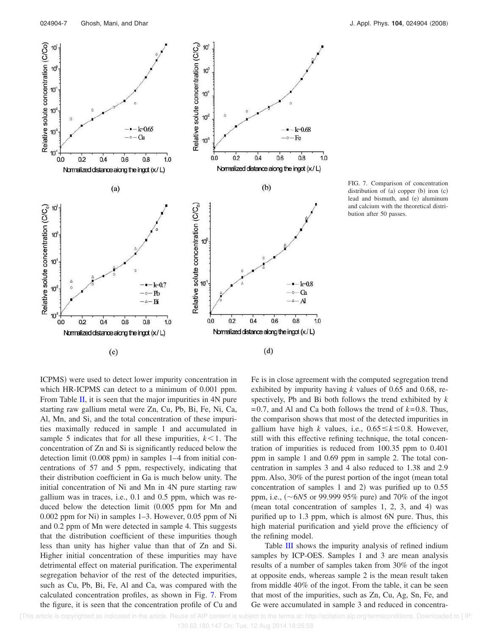

FIG. 7. Comparison of concentration distribution of  $(a)$  copper  $(b)$  iron  $(c)$ lead and bismuth, and (e) aluminum and calcium with the theoretical distribution after 50 passes.

ICPMS) were used to detect lower impurity concentration in which HR-ICPMS can detect to a minimum of 0.001 ppm. From Table II, it is seen that the major impurities in 4N pure starting raw gallium metal were Zn, Cu, Pb, Bi, Fe, Ni, Ca, Al, Mn, and Si, and the total concentration of these impurities maximally reduced in sample 1 and accumulated in sample 5 indicates that for all these impurities,  $k < 1$ . The concentration of Zn and Si is significantly reduced below the detection limit (0.008 ppm) in samples 1–4 from initial concentrations of 57 and 5 ppm, respectively, indicating that their distribution coefficient in Ga is much below unity. The initial concentration of Ni and Mn in 4N pure starting raw gallium was in traces, i.e., 0.1 and 0.5 ppm, which was reduced below the detection limit (0.005 ppm for Mn and 0.002 ppm for Ni) in samples 1–3. However, 0.05 ppm of Ni and 0.2 ppm of Mn were detected in sample 4. This suggests that the distribution coefficient of these impurities though less than unity has higher value than that of Zn and Si. Higher initial concentration of these impurities may have detrimental effect on material purification. The experimental segregation behavior of the rest of the detected impurities, such as Cu, Pb, Bi, Fe, Al and Ca, was compared with the calculated concentration profiles, as shown in Fig. 7. From the figure, it is seen that the concentration profile of Cu and

Fe is in close agreement with the computed segregation trend exhibited by impurity having *k* values of 0.65 and 0.68, respectively, Pb and Bi both follows the trend exhibited by *k*  $= 0.7$ , and Al and Ca both follows the trend of  $k = 0.8$ . Thus, the comparison shows that most of the detected impurities in gallium have high *k* values, i.e.,  $0.65 \le k \le 0.8$ . However, still with this effective refining technique, the total concentration of impurities is reduced from 100.35 ppm to 0.401 ppm in sample 1 and 0.69 ppm in sample 2. The total concentration in samples 3 and 4 also reduced to 1.38 and 2.9 ppm. Also, 30% of the purest portion of the ingot (mean total concentration of samples 1 and 2) was purified up to  $0.55$ ppm, i.e., (~6*N*5 or 99.999 95% pure) and 70% of the ingot (mean total concentration of samples  $1, 2, 3$ , and  $4)$  was purified up to 1.3 ppm, which is almost 6N pure. Thus, this high material purification and yield prove the efficiency of the refining model.

Table III shows the impurity analysis of refined indium samples by ICP-OES. Samples 1 and 3 are mean analysis results of a number of samples taken from 30% of the ingot at opposite ends, whereas sample 2 is the mean result taken from middle 40% of the ingot. From the table, it can be seen that most of the impurities, such as Zn, Cu, Ag, Sn, Fe, and Ge were accumulated in sample 3 and reduced in concentra-